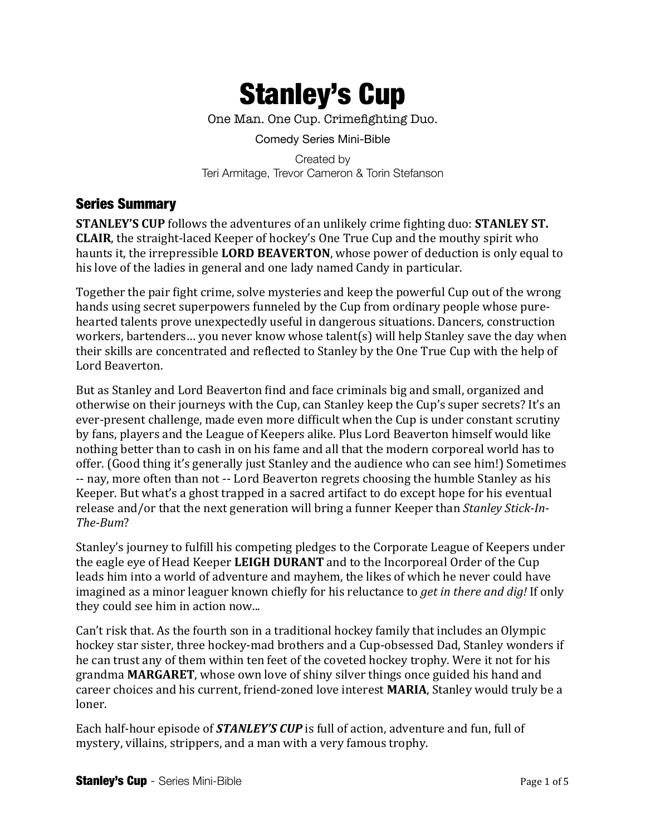

One Man. One Cup. Crimefighting Duo.

Comedy Series Mini-Bible

Created by Teri Armitage, Trevor Cameron & Torin Stefanson

# Series Summary

**STANLEY'S CUP** follows the adventures of an unlikely crime fighting duo: **STANLEY ST. CLAIR**, the straight-laced Keeper of hockey's One True Cup and the mouthy spirit who haunts it, the irrepressible **LORD BEAVERTON**, whose power of deduction is only equal to his love of the ladies in general and one lady named Candy in particular.

Together the pair fight crime, solve mysteries and keep the powerful Cup out of the wrong hands using secret superpowers funneled by the Cup from ordinary people whose purehearted talents prove unexpectedly useful in dangerous situations. Dancers, construction workers, bartenders... you never know whose talent(s) will help Stanley save the day when their skills are concentrated and reflected to Stanley by the One True Cup with the help of Lord Beaverton.

But as Stanley and Lord Beaverton find and face criminals big and small, organized and otherwise on their journeys with the Cup, can Stanley keep the Cup's super secrets? It's an ever-present challenge, made even more difficult when the Cup is under constant scrutiny by fans, players and the League of Keepers alike. Plus Lord Beaverton himself would like nothing better than to cash in on his fame and all that the modern corporeal world has to offer. (Good thing it's generally just Stanley and the audience who can see him!) Sometimes -- nay, more often than not -- Lord Beaverton regrets choosing the humble Stanley as his Keeper. But what's a ghost trapped in a sacred artifact to do except hope for his eventual release and/or that the next generation will bring a funner Keeper than *Stanley Stick-In-The-Bum*?

Stanley's journey to fulfill his competing pledges to the Corporate League of Keepers under the eagle eye of Head Keeper LEIGH DURANT and to the Incorporeal Order of the Cup leads him into a world of adventure and mayhem, the likes of which he never could have imagined as a minor leaguer known chiefly for his reluctance to *get in there and dig!* If only they could see him in action now...

Can't risk that. As the fourth son in a traditional hockey family that includes an Olympic hockey star sister, three hockey-mad brothers and a Cup-obsessed Dad, Stanley wonders if he can trust any of them within ten feet of the coveted hockey trophy. Were it not for his grandma MARGARET, whose own love of shiny silver things once guided his hand and career choices and his current, friend-zoned love interest **MARIA**, Stanley would truly be a loner.

Each half-hour episode of *STANLEY'S* CUP is full of action, adventure and fun, full of mystery, villains, strippers, and a man with a very famous trophy.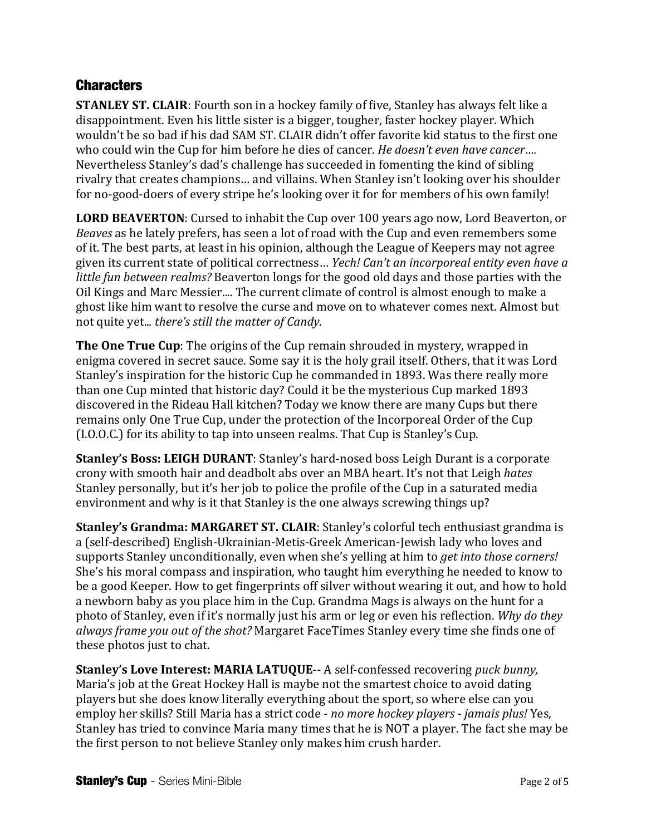# **Characters**

**STANLEY ST. CLAIR:** Fourth son in a hockey family of five, Stanley has always felt like a disappointment. Even his little sister is a bigger, tougher, faster hockey player. Which wouldn't be so bad if his dad SAM ST. CLAIR didn't offer favorite kid status to the first one who could win the Cup for him before he dies of cancer. *He doesn't even have cancer...*. Nevertheless Stanley's dad's challenge has succeeded in fomenting the kind of sibling rivalry that creates champions... and villains. When Stanley isn't looking over his shoulder for no-good-doers of every stripe he's looking over it for for members of his own family!

**LORD BEAVERTON:** Cursed to inhabit the Cup over 100 years ago now, Lord Beaverton, or *Beaves* as he lately prefers, has seen a lot of road with the Cup and even remembers some of it. The best parts, at least in his opinion, although the League of Keepers may not agree given its current state of political correctness... *Yech! Can't an incorporeal entity even have a little fun between realms?* Beaverton longs for the good old days and those parties with the Oil Kings and Marc Messier.... The current climate of control is almost enough to make a ghost like him want to resolve the curse and move on to whatever comes next. Almost but not quite yet... there's still the matter of Candy.

**The One True Cup**: The origins of the Cup remain shrouded in mystery, wrapped in enigma covered in secret sauce. Some say it is the holy grail itself. Others, that it was Lord Stanley's inspiration for the historic Cup he commanded in 1893. Was there really more than one Cup minted that historic day? Could it be the mysterious Cup marked 1893 discovered in the Rideau Hall kitchen? Today we know there are many Cups but there remains only One True Cup, under the protection of the Incorporeal Order of the Cup (I.O.O.C.) for its ability to tap into unseen realms. That Cup is Stanley's Cup.

**Stanley's Boss: LEIGH DURANT:** Stanley's hard-nosed boss Leigh Durant is a corporate crony with smooth hair and deadbolt abs over an MBA heart. It's not that Leigh *hates* Stanley personally, but it's her job to police the profile of the Cup in a saturated media environment and why is it that Stanley is the one always screwing things up?

**Stanley's Grandma: MARGARET ST. CLAIR:** Stanley's colorful tech enthusiast grandma is a (self-described) English-Ukrainian-Metis-Greek American-Jewish lady who loves and supports Stanley unconditionally, even when she's yelling at him to *get into those corners!* She's his moral compass and inspiration, who taught him everything he needed to know to be a good Keeper. How to get fingerprints off silver without wearing it out, and how to hold a newborn baby as you place him in the Cup. Grandma Mags is always on the hunt for a photo of Stanley, even if it's normally just his arm or leg or even his reflection. *Why do they always frame you out of the shot?* Margaret FaceTimes Stanley every time she finds one of these photos just to chat.

**Stanley's Love Interest: MARIA LATUQUE--** A self-confessed recovering *puck bunny*, Maria's job at the Great Hockey Hall is maybe not the smartest choice to avoid dating players but she does know literally everything about the sport, so where else can you employ her skills? Still Maria has a strict code - *no more hockey players - jamais plus!* Yes, Stanley has tried to convince Maria many times that he is NOT a player. The fact she may be the first person to not believe Stanley only makes him crush harder.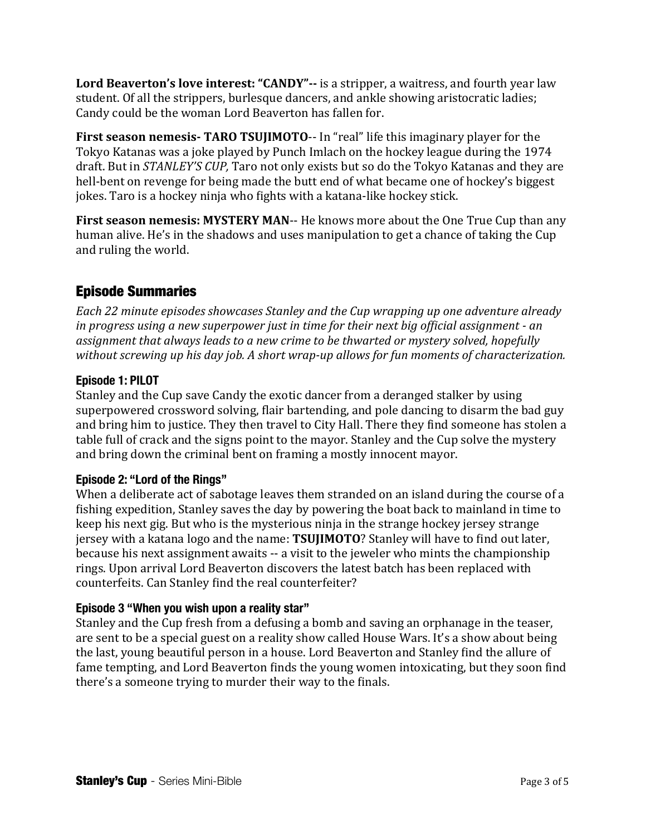Lord Beaverton's love interest: "CANDY"-- is a stripper, a waitress, and fourth year law student. Of all the strippers, burlesque dancers, and ankle showing aristocratic ladies; Candy could be the woman Lord Beaverton has fallen for.

**First season nemesis- TARO TSUJIMOTO**-- In "real" life this imaginary player for the Tokyo Katanas was a joke played by Punch Imlach on the hockey league during the 1974 draft. But in *STANLEY'S CUP*, Taro not only exists but so do the Tokyo Katanas and they are hell-bent on revenge for being made the butt end of what became one of hockey's biggest jokes. Taro is a hockey ninja who fights with a katana-like hockey stick.

**First season nemesis: MYSTERY MAN--** He knows more about the One True Cup than any human alive. He's in the shadows and uses manipulation to get a chance of taking the Cup and ruling the world.

# Episode Summaries

*Each* 22 minute episodes showcases Stanley and the Cup wrapping up one adventure already *in progress using a new superpower just in time for their next big official assignment - an* assignment that always leads to a new crime to be thwarted or mystery solved, hopefully *without screwing up his day job. A short wrap-up allows for fun moments of characterization.* 

### **Episode 1: PILOT**

Stanley and the Cup save Candy the exotic dancer from a deranged stalker by using superpowered crossword solving, flair bartending, and pole dancing to disarm the bad guy and bring him to justice. They then travel to City Hall. There they find someone has stolen a table full of crack and the signs point to the mayor. Stanley and the Cup solve the mystery and bring down the criminal bent on framing a mostly innocent mayor.

### **Episode 2: "Lord of the Rings"**

When a deliberate act of sabotage leaves them stranded on an island during the course of a fishing expedition, Stanley saves the day by powering the boat back to mainland in time to keep his next gig. But who is the mysterious ninja in the strange hockey jersey strange jersey with a katana logo and the name: **TSUJIMOTO**? Stanley will have to find out later, because his next assignment awaits -- a visit to the jeweler who mints the championship rings. Upon arrival Lord Beaverton discovers the latest batch has been replaced with counterfeits. Can Stanley find the real counterfeiter?

### **Episode 3 "When you wish upon a reality star"**

Stanley and the Cup fresh from a defusing a bomb and saving an orphanage in the teaser, are sent to be a special guest on a reality show called House Wars. It's a show about being the last, young beautiful person in a house. Lord Beaverton and Stanley find the allure of fame tempting, and Lord Beaverton finds the young women intoxicating, but they soon find there's a someone trying to murder their way to the finals.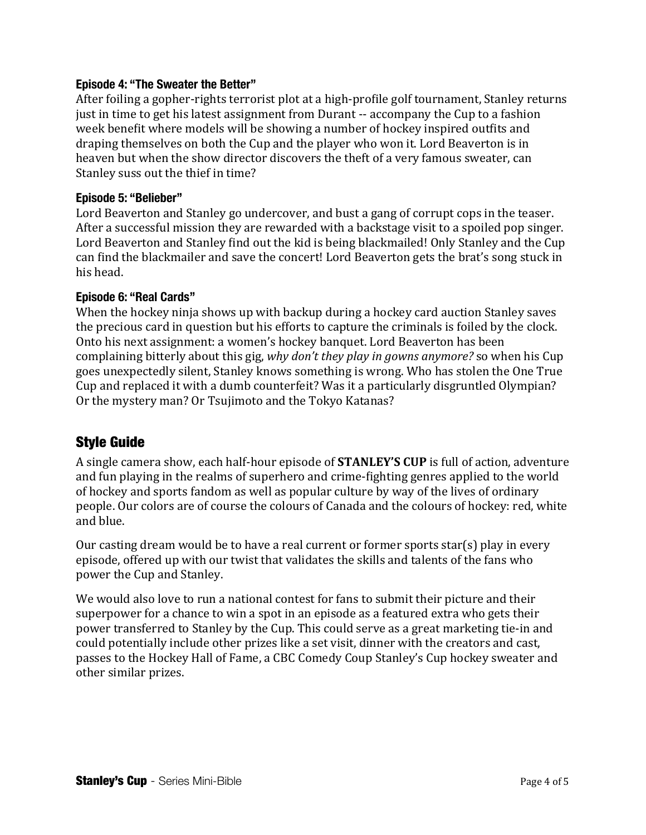#### **Episode 4: "The Sweater the Better"**

After foiling a gopher-rights terrorist plot at a high-profile golf tournament, Stanley returns just in time to get his latest assignment from Durant -- accompany the Cup to a fashion week benefit where models will be showing a number of hockey inspired outfits and draping themselves on both the Cup and the player who won it. Lord Beaverton is in heaven but when the show director discovers the theft of a very famous sweater, can Stanley suss out the thief in time?

#### **Episode 5: "Belieber"**

Lord Beaverton and Stanley go undercover, and bust a gang of corrupt cops in the teaser. After a successful mission they are rewarded with a backstage visit to a spoiled pop singer. Lord Beaverton and Stanley find out the kid is being blackmailed! Only Stanley and the Cup can find the blackmailer and save the concert! Lord Beaverton gets the brat's song stuck in his head.

#### **Episode 6: "Real Cards"**

When the hockey ninja shows up with backup during a hockey card auction Stanley saves the precious card in question but his efforts to capture the criminals is foiled by the clock. Onto his next assignment: a women's hockey banquet. Lord Beaverton has been complaining bitterly about this gig, *why don't they play in gowns anymore?* so when his Cup goes unexpectedly silent, Stanley knows something is wrong. Who has stolen the One True Cup and replaced it with a dumb counterfeit? Was it a particularly disgruntled Olympian? Or the mystery man? Or Tsujimoto and the Tokyo Katanas?

# Style Guide

A single camera show, each half-hour episode of **STANLEY'S CUP** is full of action, adventure and fun playing in the realms of superhero and crime-fighting genres applied to the world of hockey and sports fandom as well as popular culture by way of the lives of ordinary people. Our colors are of course the colours of Canada and the colours of hockey: red, white and blue.

Our casting dream would be to have a real current or former sports star(s) play in every episode, offered up with our twist that validates the skills and talents of the fans who power the Cup and Stanley.

We would also love to run a national contest for fans to submit their picture and their superpower for a chance to win a spot in an episode as a featured extra who gets their power transferred to Stanley by the Cup. This could serve as a great marketing tie-in and could potentially include other prizes like a set visit, dinner with the creators and cast, passes to the Hockey Hall of Fame, a CBC Comedy Coup Stanley's Cup hockey sweater and other similar prizes.